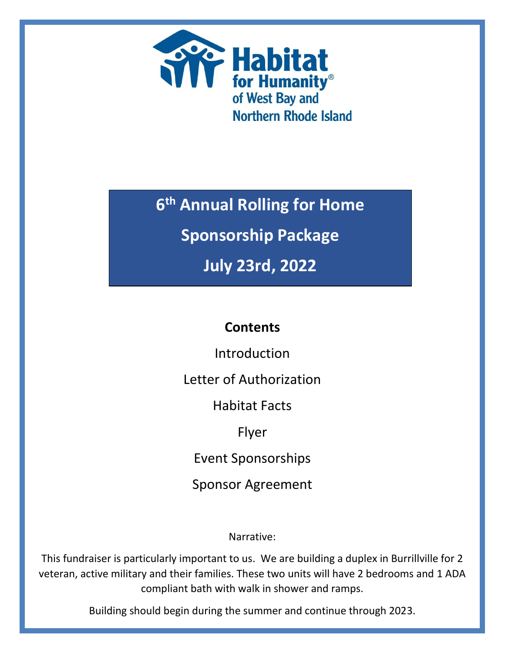

**6 th Annual Rolling for Home**

**Sponsorship Package**

**July 23rd, 2022**

# **Contents**

Introduction

Letter of Authorization

Habitat Facts

Flyer

Event Sponsorships

Sponsor Agreement

Narrative:

This fundraiser is particularly important to us. We are building a duplex in Burrillville for 2 veteran, active military and their families. These two units will have 2 bedrooms and 1 ADA compliant bath with walk in shower and ramps.

Building should begin during the summer and continue through 2023.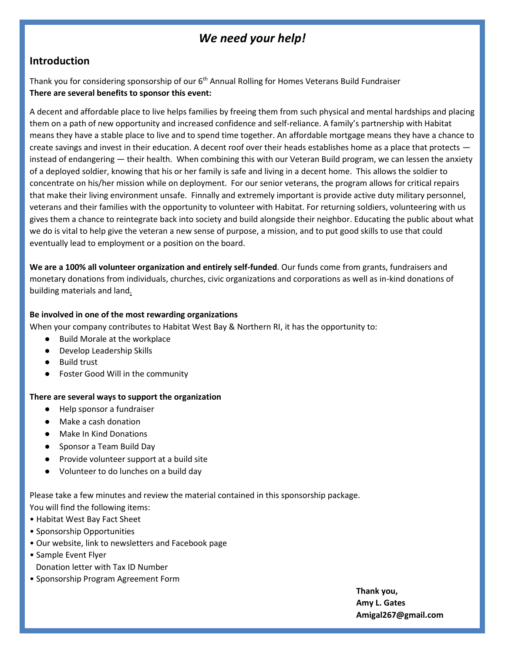### *We need your help!*

### **Introduction**

Thank you for considering sponsorship of our 6<sup>th</sup> Annual Rolling for Homes Veterans Build Fundraiser **There are several benefits to sponsor this event:**

A decent and affordable place to live helps families by freeing them from such physical and mental hardships and placing them on a path of new opportunity and increased confidence and self-reliance. A family's partnership with Habitat means they have a stable place to live and to spend time together. An affordable mortgage means they have a chance to create savings and invest in their education. A decent roof over their heads establishes home as a place that protects instead of endangering — their health. When combining this with our Veteran Build program, we can lessen the anxiety of a deployed soldier, knowing that his or her family is safe and living in a decent home. This allows the soldier to concentrate on his/her mission while on deployment. For our senior veterans, the program allows for critical repairs that make their living environment unsafe. Finnally and extremely important is provide active duty military personnel, veterans and their families with the opportunity to volunteer with Habitat. For returning soldiers, volunteering with us gives them a chance to reintegrate back into society and build alongside their neighbor. Educating the public about what we do is vital to help give the veteran a new sense of purpose, a mission, and to put good skills to use that could eventually lead to employment or a position on the board.

**We are a 100% all volunteer organization and entirely self-funded**. Our funds come from grants, fundraisers and monetary donations from individuals, churches, civic organizations and corporations as well as in-kind donations of building materials and land.

#### **Be involved in one of the most rewarding organizations**

When your company contributes to Habitat West Bay & Northern RI, it has the opportunity to:

- **Build Morale at the workplace**
- Develop Leadership Skills
- Build trust
- **Foster Good Will in the community**

#### **There are several ways to support the organization**

- Help sponsor a fundraiser
- Make a cash donation
- Make In Kind Donations
- Sponsor a Team Build Day
- Provide volunteer support at a build site
- Volunteer to do lunches on a build day

Please take a few minutes and review the material contained in this sponsorship package. You will find the following items:

- Habitat West Bay Fact Sheet
- Sponsorship Opportunities
- Our website, link to newsletters and Facebook page
- Sample Event Flyer
	- Donation letter with Tax ID Number
- Sponsorship Program Agreement Form

**Thank you, Amy L. Gates Amigal267@gmail.com**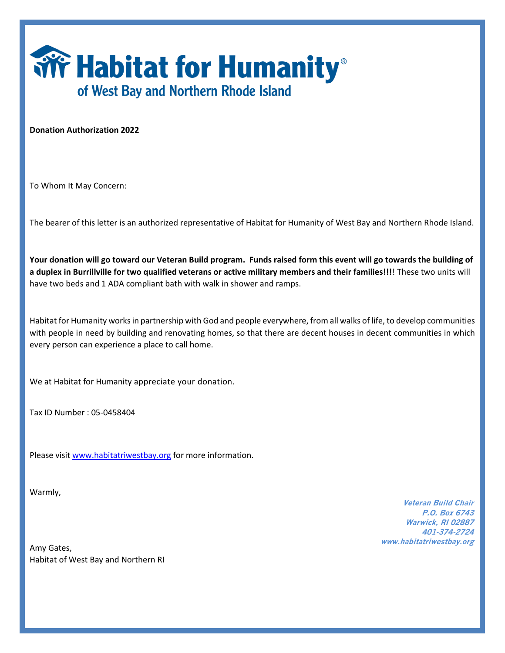

**Donation Authorization 2022**

To Whom It May Concern:

The bearer of this letter is an authorized representative of Habitat for Humanity of West Bay and Northern Rhode Island.

**Your donation will go toward our Veteran Build program. Funds raised form this event will go towards the building of a duplex in Burrillville for two qualified veterans or active military members and their families!!!**! These two units will have two beds and 1 ADA compliant bath with walk in shower and ramps.

Habitat for Humanity works in partnership with God and people everywhere, from all walks of life, to develop communities with people in need by building and renovating homes, so that there are decent houses in decent communities in which every person can experience a place to call home.

We at Habitat for Humanity appreciate your donation.

Tax ID Number : 05-0458404

Please visi[t www.habitatriwestbay.org](http://www.habitatriwestbay.org/) for more information.

Warmly,

Amy Gates, Habitat of West Bay and Northern RI

**Veteran Build Chair P.O. Box 6743 Warwick, RI 02887 401-374-2724 www.habitatriwestbay.org**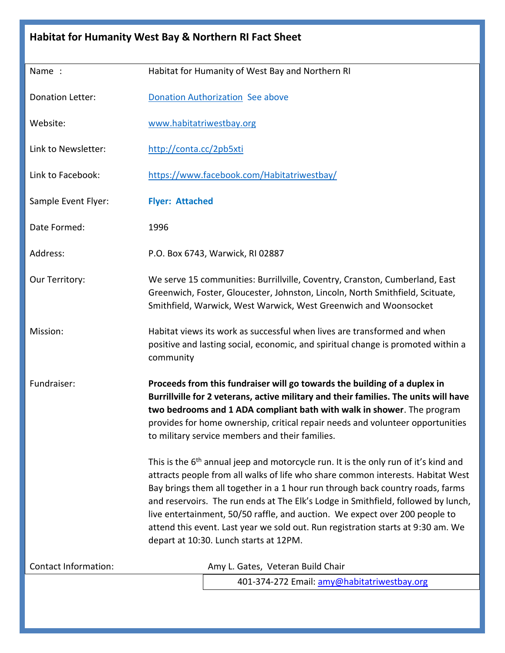| Habitat for Humanity West Bay & Northern RI Fact Sheet |                                                                                                                                                                                                                                                                                                                                                                                                                                                                                                                                                                                                                                                                                                                                                                                                                    |  |  |
|--------------------------------------------------------|--------------------------------------------------------------------------------------------------------------------------------------------------------------------------------------------------------------------------------------------------------------------------------------------------------------------------------------------------------------------------------------------------------------------------------------------------------------------------------------------------------------------------------------------------------------------------------------------------------------------------------------------------------------------------------------------------------------------------------------------------------------------------------------------------------------------|--|--|
| Name:                                                  | Habitat for Humanity of West Bay and Northern RI                                                                                                                                                                                                                                                                                                                                                                                                                                                                                                                                                                                                                                                                                                                                                                   |  |  |
| <b>Donation Letter:</b>                                | <b>Donation Authorization See above</b>                                                                                                                                                                                                                                                                                                                                                                                                                                                                                                                                                                                                                                                                                                                                                                            |  |  |
| Website:                                               | www.habitatriwestbay.org                                                                                                                                                                                                                                                                                                                                                                                                                                                                                                                                                                                                                                                                                                                                                                                           |  |  |
| Link to Newsletter:                                    | http://conta.cc/2pb5xti                                                                                                                                                                                                                                                                                                                                                                                                                                                                                                                                                                                                                                                                                                                                                                                            |  |  |
| Link to Facebook:                                      | https://www.facebook.com/Habitatriwestbay/                                                                                                                                                                                                                                                                                                                                                                                                                                                                                                                                                                                                                                                                                                                                                                         |  |  |
| Sample Event Flyer:                                    | <b>Flyer: Attached</b>                                                                                                                                                                                                                                                                                                                                                                                                                                                                                                                                                                                                                                                                                                                                                                                             |  |  |
| Date Formed:                                           | 1996                                                                                                                                                                                                                                                                                                                                                                                                                                                                                                                                                                                                                                                                                                                                                                                                               |  |  |
| Address:                                               | P.O. Box 6743, Warwick, RI 02887                                                                                                                                                                                                                                                                                                                                                                                                                                                                                                                                                                                                                                                                                                                                                                                   |  |  |
| Our Territory:                                         | We serve 15 communities: Burrillville, Coventry, Cranston, Cumberland, East<br>Greenwich, Foster, Gloucester, Johnston, Lincoln, North Smithfield, Scituate,<br>Smithfield, Warwick, West Warwick, West Greenwich and Woonsocket                                                                                                                                                                                                                                                                                                                                                                                                                                                                                                                                                                                   |  |  |
| Mission:                                               | Habitat views its work as successful when lives are transformed and when<br>positive and lasting social, economic, and spiritual change is promoted within a<br>community                                                                                                                                                                                                                                                                                                                                                                                                                                                                                                                                                                                                                                          |  |  |
| Fundraiser:                                            | Proceeds from this fundraiser will go towards the building of a duplex in<br>Burrillville for 2 veterans, active military and their families. The units will have<br>two bedrooms and 1 ADA compliant bath with walk in shower. The program<br>provides for home ownership, critical repair needs and volunteer opportunities<br>to military service members and their families.<br>This is the $6th$ annual jeep and motorcycle run. It is the only run of it's kind and<br>attracts people from all walks of life who share common interests. Habitat West<br>Bay brings them all together in a 1 hour run through back country roads, farms<br>and reservoirs. The run ends at The Elk's Lodge in Smithfield, followed by lunch,<br>live entertainment, 50/50 raffle, and auction. We expect over 200 people to |  |  |
|                                                        | attend this event. Last year we sold out. Run registration starts at 9:30 am. We<br>depart at 10:30. Lunch starts at 12PM.                                                                                                                                                                                                                                                                                                                                                                                                                                                                                                                                                                                                                                                                                         |  |  |
| <b>Contact Information:</b>                            | Amy L. Gates, Veteran Build Chair                                                                                                                                                                                                                                                                                                                                                                                                                                                                                                                                                                                                                                                                                                                                                                                  |  |  |
|                                                        | 401-374-272 Email: amy@habitatriwestbay.org                                                                                                                                                                                                                                                                                                                                                                                                                                                                                                                                                                                                                                                                                                                                                                        |  |  |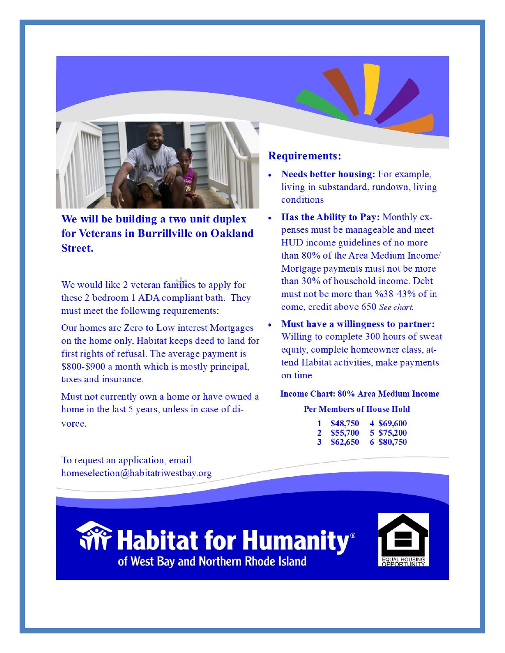

We will be building a two unit duplex for Veterans in Burrillville on Oakland **Street.** 

We would like 2 veteran families to apply for these 2 bedroom 1 ADA compliant bath. They must meet the following requirements:

Our homes are Zero to Low interest Mortgages on the home only. Habitat keeps deed to land for first rights of refusal. The average payment is \$800-\$900 a month which is mostly principal, taxes and insurance.

Must not currently own a home or have owned a home in the last 5 years, unless in case of divorce.

### **Requirements:**

- **Needs better housing: For example,** living in substandard, rundown, living conditions
- $\bullet$ Has the Ability to Pay: Monthly expenses must be manageable and meet HUD income guidelines of no more than 80% of the Area Medium Income/ Mortgage payments must not be more than 30% of household income. Debt must not be more than  $\frac{638-43}{6}$  of income, credit above 650 See chart.
- Must have a willingness to partner: Willing to complete 300 hours of sweat equity, complete homeowner class, attend Habitat activities, make payments on time

#### **Income Chart: 80% Area Medium Income**

#### **Per Members of House Hold**

| 1.           | \$48,750 | 4 \$69,600 |
|--------------|----------|------------|
| $\mathbf{2}$ | \$55,700 | 5 \$75,200 |
| 3            | \$62,650 | 6 \$80,750 |

To request an application, email: homeselection@habitatriwestbay.org

> **Wr Habitat for Humanity** of West Bay and Northern Rhode Island

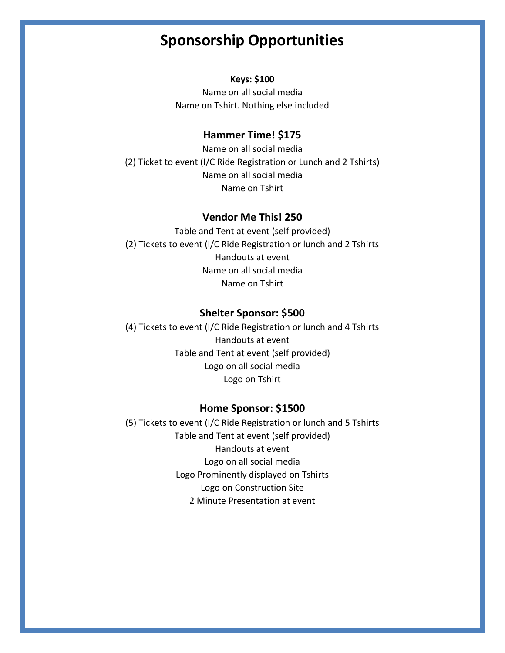# **Sponsorship Opportunities**

#### **Keys: \$100**

Name on all social media Name on Tshirt. Nothing else included

#### **Hammer Time! \$175**

Name on all social media (2) Ticket to event (I/C Ride Registration or Lunch and 2 Tshirts) Name on all social media Name on Tshirt

#### **Vendor Me This! 250**

Table and Tent at event (self provided) (2) Tickets to event (I/C Ride Registration or lunch and 2 Tshirts Handouts at event Name on all social media Name on Tshirt

#### **Shelter Sponsor: \$500**

(4) Tickets to event (I/C Ride Registration or lunch and 4 Tshirts Handouts at event Table and Tent at event (self provided) Logo on all social media Logo on Tshirt

#### **Home Sponsor: \$1500**

(5) Tickets to event (I/C Ride Registration or lunch and 5 Tshirts Table and Tent at event (self provided) Handouts at event Logo on all social media Logo Prominently displayed on Tshirts Logo on Construction Site 2 Minute Presentation at event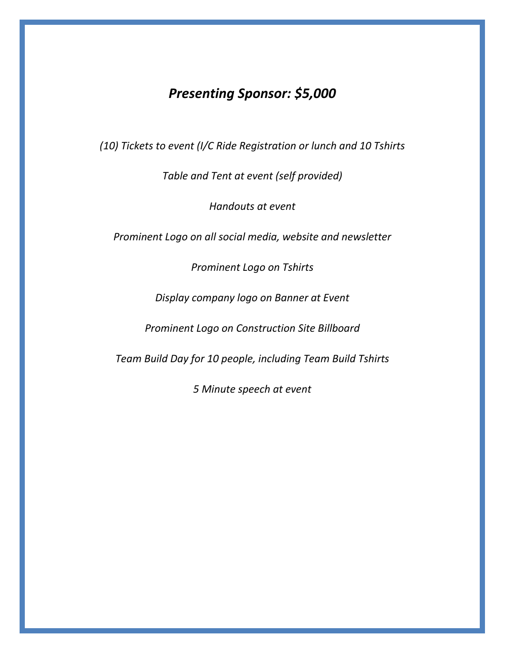# *Presenting Sponsor: \$5,000*

*(10) Tickets to event (I/C Ride Registration or lunch and 10 Tshirts*

*Table and Tent at event (self provided)*

*Handouts at event*

*Prominent Logo on all social media, website and newsletter*

*Prominent Logo on Tshirts*

*Display company logo on Banner at Event*

*Prominent Logo on Construction Site Billboard*

*Team Build Day for 10 people, including Team Build Tshirts*

*5 Minute speech at event*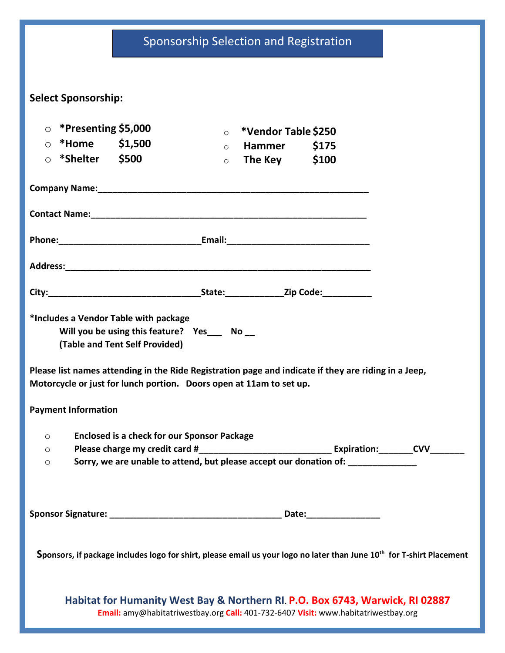# Sponsorship Selection and Registration

| <b>Select Sponsorship:</b>                                          |                                                                               |                    |                                     |                                                                                                                                   |  |
|---------------------------------------------------------------------|-------------------------------------------------------------------------------|--------------------|-------------------------------------|-----------------------------------------------------------------------------------------------------------------------------------|--|
| $\circ$ *Presenting \$5,000                                         |                                                                               |                    |                                     |                                                                                                                                   |  |
| $\circ$ *Home \$1,500                                               |                                                                               | $\circ$<br>$\circ$ | *Vendor Table \$250<br>Hammer \$175 |                                                                                                                                   |  |
| $\circ$ *Shelter \$500                                              |                                                                               | $\circ$            | The Key \$100                       |                                                                                                                                   |  |
|                                                                     |                                                                               |                    |                                     |                                                                                                                                   |  |
|                                                                     |                                                                               |                    |                                     |                                                                                                                                   |  |
|                                                                     |                                                                               |                    |                                     |                                                                                                                                   |  |
|                                                                     |                                                                               |                    |                                     |                                                                                                                                   |  |
|                                                                     |                                                                               |                    |                                     |                                                                                                                                   |  |
| *Includes a Vendor Table with package                               | Will you be using this feature? Yes___ No__<br>(Table and Tent Self Provided) |                    |                                     |                                                                                                                                   |  |
| Motorcycle or just for lunch portion. Doors open at 11am to set up. |                                                                               |                    |                                     | Please list names attending in the Ride Registration page and indicate if they are riding in a Jeep,                              |  |
| <b>Payment Information</b>                                          |                                                                               |                    |                                     |                                                                                                                                   |  |
| O                                                                   | <b>Enclosed is a check for our Sponsor Package</b>                            |                    |                                     |                                                                                                                                   |  |
| $\circ$<br>$\circ$                                                  |                                                                               |                    |                                     | Sorry, we are unable to attend, but please accept our donation of:                                                                |  |
|                                                                     |                                                                               |                    |                                     |                                                                                                                                   |  |
|                                                                     |                                                                               |                    |                                     |                                                                                                                                   |  |
|                                                                     |                                                                               |                    |                                     | Sponsors, if package includes logo for shirt, please email us your logo no later than June 10 <sup>th</sup> for T-shirt Placement |  |
|                                                                     |                                                                               |                    |                                     | Habitat for Humanity West Bay & Northern RI. P.O. Box 6743, Warwick, RI 02887                                                     |  |

**Email:** amy@habitatriwestbay.org **Call:** 401-732-6407 **Visit:** www.habitatriwestbay.org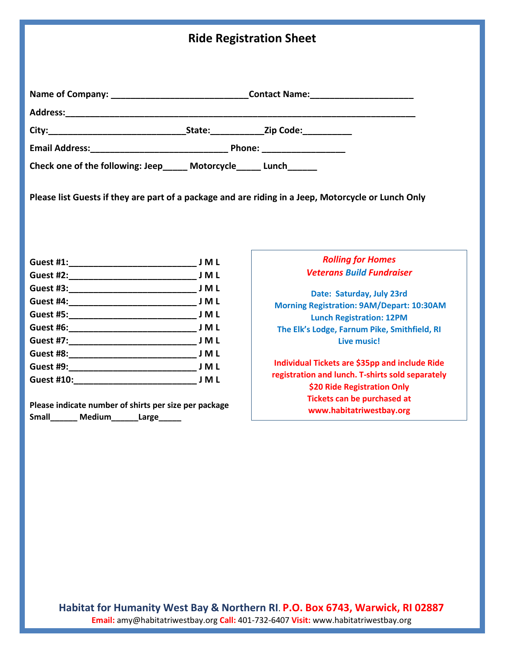|                                                                      |       | <b>Ride Registration Sheet</b>                                                                      |
|----------------------------------------------------------------------|-------|-----------------------------------------------------------------------------------------------------|
|                                                                      |       | Name of Company: __________________________________Contact Name: ________________                   |
|                                                                      |       |                                                                                                     |
|                                                                      |       |                                                                                                     |
|                                                                      |       |                                                                                                     |
| Check one of the following: Jeep______ Motorcycle______ Lunch_______ |       |                                                                                                     |
|                                                                      |       | Please list Guests if they are part of a package and are riding in a Jeep, Motorcycle or Lunch Only |
| $G$ uest #1 $\cdot$                                                  | I M I | <b>Rolling for Homes</b>                                                                            |

|                   | J M L |
|-------------------|-------|
|                   | J M L |
|                   |       |
|                   |       |
|                   | J M L |
|                   |       |
|                   | J M L |
| Guest #9:         | J M L |
| <b>Guest #10:</b> | J M L |
|                   |       |

**Please indicate number of shirts per size per package Small\_\_\_\_\_\_ Medium\_\_\_\_\_\_Large\_\_\_\_\_**

#### *Rolling for Homes Veterans Build Fundraiser*

**Date: Saturday, July 23rd Morning Registration: 9AM/Depart: 10:30AM Lunch Registration: 12PM The Elk's Lodge, Farnum Pike, Smithfield, RI Live music!**

**Individual Tickets are \$35pp and include Ride registration and lunch. T-shirts sold separately \$20 Ride Registration Only Tickets can be purchased at www.habitatriwestbay.org**

**Habitat for Humanity West Bay & Northern RI**. **P.O. Box 6743, Warwick, RI 02887 Email:** amy@habitatriwestbay.org **Call:** 401-732-6407 **Visit:** www.habitatriwestbay.org